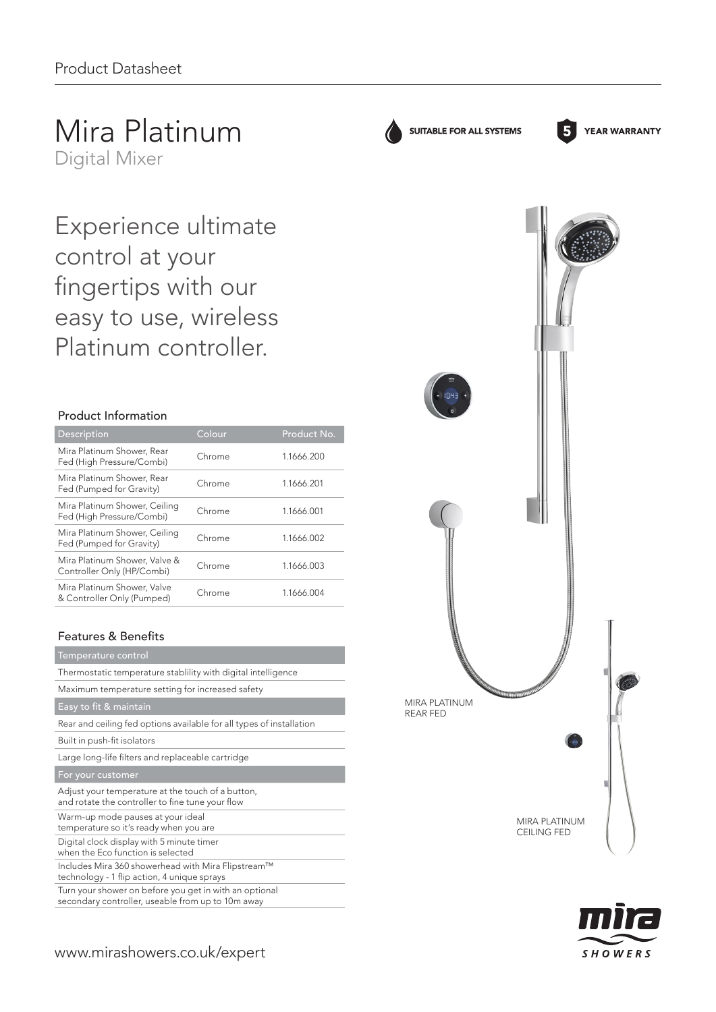Mira Platinum Digital Mixer

Experience ultimate control at your fingertips with our easy to use, wireless Platinum controller.

# Product Information

| Description                                                 | Colour | Product No. |
|-------------------------------------------------------------|--------|-------------|
| Mira Platinum Shower, Rear<br>Fed (High Pressure/Combi)     | Chrome | 1.1666.200  |
| Mira Platinum Shower, Rear<br>Fed (Pumped for Gravity)      | Chrome | 1.1666.201  |
| Mira Platinum Shower, Ceiling<br>Fed (High Pressure/Combi)  | Chrome | 1.1666.001  |
| Mira Platinum Shower, Ceiling<br>Fed (Pumped for Gravity)   | Chrome | 1.1666.002  |
| Mira Platinum Shower, Valve &<br>Controller Only (HP/Combi) | Chrome | 1.1666.003  |
| Mira Platinum Shower, Valve<br>& Controller Only (Pumped)   | Chrome | 1.1666.004  |

# Features & Benefits

#### Temperature control

Thermostatic temperature stablility with digital intelligence

Maximum temperature setting for increased safety

Easy to fit & maintain

Rear and ceiling fed options available for all types of installation

Built in push-fit isolators

Large long-life filters and replaceable cartridge

For your customer

| Adjust your temperature at the touch of a button,<br>and rotate the controller to fine tune your flow       |
|-------------------------------------------------------------------------------------------------------------|
| Warm-up mode pauses at your ideal<br>temperature so it's ready when you are                                 |
| Digital clock display with 5 minute timer<br>when the Eco function is selected                              |
| Includes Mira 360 showerhead with Mira Flipstream™<br>technology - 1 flip action, 4 unique sprays           |
| Turn your shower on before you get in with an optional<br>secondary controller, useable from up to 10m away |



SUITABLE FOR ALL SYSTEMS



**YEAR WARRANTY**